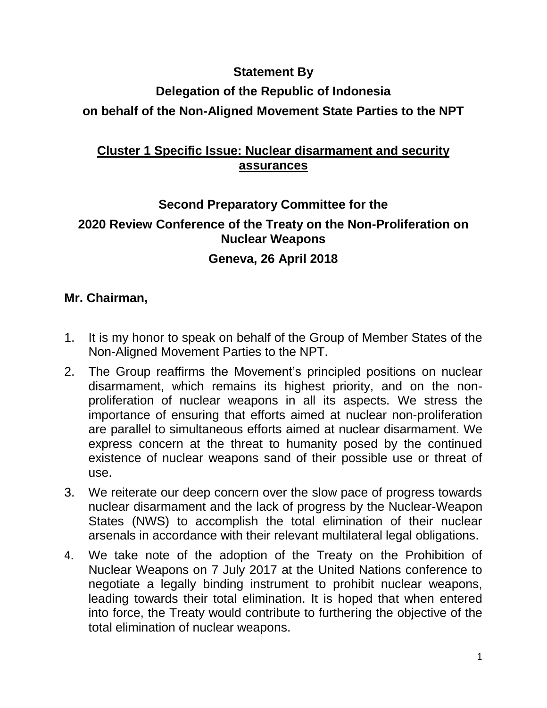### **Statement By**

### **Delegation of the Republic of Indonesia**

## **on behalf of the Non-Aligned Movement State Parties to the NPT**

## **Cluster 1 Specific Issue: Nuclear disarmament and security assurances**

# **Second Preparatory Committee for the 2020 Review Conference of the Treaty on the Non-Proliferation on Nuclear Weapons Geneva, 26 April 2018**

### **Mr. Chairman,**

- 1. It is my honor to speak on behalf of the Group of Member States of the Non-Aligned Movement Parties to the NPT.
- 2. The Group reaffirms the Movement's principled positions on nuclear disarmament, which remains its highest priority, and on the nonproliferation of nuclear weapons in all its aspects. We stress the importance of ensuring that efforts aimed at nuclear non-proliferation are parallel to simultaneous efforts aimed at nuclear disarmament. We express concern at the threat to humanity posed by the continued existence of nuclear weapons sand of their possible use or threat of use.
- 3. We reiterate our deep concern over the slow pace of progress towards nuclear disarmament and the lack of progress by the Nuclear-Weapon States (NWS) to accomplish the total elimination of their nuclear arsenals in accordance with their relevant multilateral legal obligations.
- 4. We take note of the adoption of the Treaty on the Prohibition of Nuclear Weapons on 7 July 2017 at the United Nations conference to negotiate a legally binding instrument to prohibit nuclear weapons, leading towards their total elimination. It is hoped that when entered into force, the Treaty would contribute to furthering the objective of the total elimination of nuclear weapons.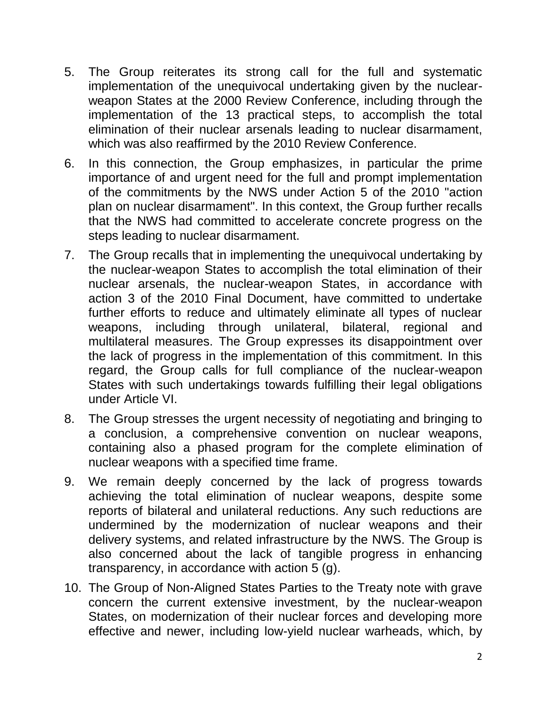- 5. The Group reiterates its strong call for the full and systematic implementation of the unequivocal undertaking given by the nuclearweapon States at the 2000 Review Conference, including through the implementation of the 13 practical steps, to accomplish the total elimination of their nuclear arsenals leading to nuclear disarmament, which was also reaffirmed by the 2010 Review Conference.
- 6. In this connection, the Group emphasizes, in particular the prime importance of and urgent need for the full and prompt implementation of the commitments by the NWS under Action 5 of the 2010 "action plan on nuclear disarmament". In this context, the Group further recalls that the NWS had committed to accelerate concrete progress on the steps leading to nuclear disarmament.
- 7. The Group recalls that in implementing the unequivocal undertaking by the nuclear-weapon States to accomplish the total elimination of their nuclear arsenals, the nuclear-weapon States, in accordance with action 3 of the 2010 Final Document, have committed to undertake further efforts to reduce and ultimately eliminate all types of nuclear weapons, including through unilateral, bilateral, regional and multilateral measures. The Group expresses its disappointment over the lack of progress in the implementation of this commitment. In this regard, the Group calls for full compliance of the nuclear-weapon States with such undertakings towards fulfilling their legal obligations under Article VI.
- 8. The Group stresses the urgent necessity of negotiating and bringing to a conclusion, a comprehensive convention on nuclear weapons, containing also a phased program for the complete elimination of nuclear weapons with a specified time frame.
- 9. We remain deeply concerned by the lack of progress towards achieving the total elimination of nuclear weapons, despite some reports of bilateral and unilateral reductions. Any such reductions are undermined by the modernization of nuclear weapons and their delivery systems, and related infrastructure by the NWS. The Group is also concerned about the lack of tangible progress in enhancing transparency, in accordance with action 5 (g).
- 10. The Group of Non-Aligned States Parties to the Treaty note with grave concern the current extensive investment, by the nuclear-weapon States, on modernization of their nuclear forces and developing more effective and newer, including low-yield nuclear warheads, which, by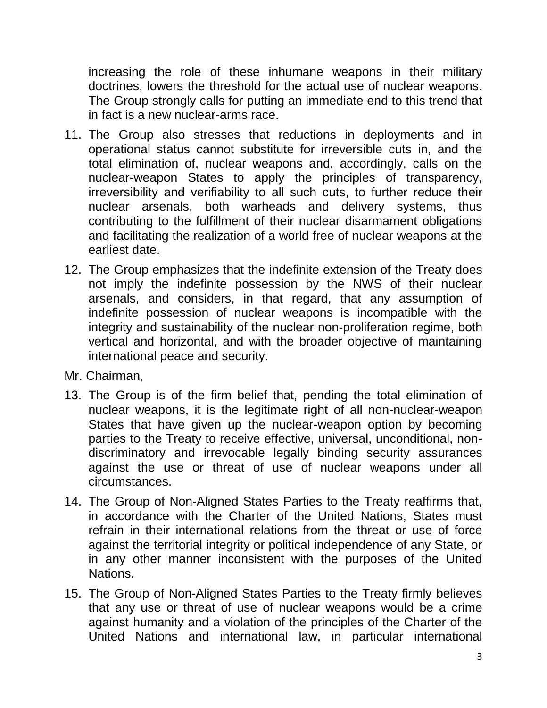increasing the role of these inhumane weapons in their military doctrines, lowers the threshold for the actual use of nuclear weapons. The Group strongly calls for putting an immediate end to this trend that in fact is a new nuclear-arms race.

- 11. The Group also stresses that reductions in deployments and in operational status cannot substitute for irreversible cuts in, and the total elimination of, nuclear weapons and, accordingly, calls on the nuclear-weapon States to apply the principles of transparency, irreversibility and verifiability to all such cuts, to further reduce their nuclear arsenals, both warheads and delivery systems, thus contributing to the fulfillment of their nuclear disarmament obligations and facilitating the realization of a world free of nuclear weapons at the earliest date.
- 12. The Group emphasizes that the indefinite extension of the Treaty does not imply the indefinite possession by the NWS of their nuclear arsenals, and considers, in that regard, that any assumption of indefinite possession of nuclear weapons is incompatible with the integrity and sustainability of the nuclear non-proliferation regime, both vertical and horizontal, and with the broader objective of maintaining international peace and security.
- Mr. Chairman,
- 13. The Group is of the firm belief that, pending the total elimination of nuclear weapons, it is the legitimate right of all non-nuclear-weapon States that have given up the nuclear-weapon option by becoming parties to the Treaty to receive effective, universal, unconditional, nondiscriminatory and irrevocable legally binding security assurances against the use or threat of use of nuclear weapons under all circumstances.
- 14. The Group of Non-Aligned States Parties to the Treaty reaffirms that, in accordance with the Charter of the United Nations, States must refrain in their international relations from the threat or use of force against the territorial integrity or political independence of any State, or in any other manner inconsistent with the purposes of the United Nations.
- 15. The Group of Non-Aligned States Parties to the Treaty firmly believes that any use or threat of use of nuclear weapons would be a crime against humanity and a violation of the principles of the Charter of the United Nations and international law, in particular international